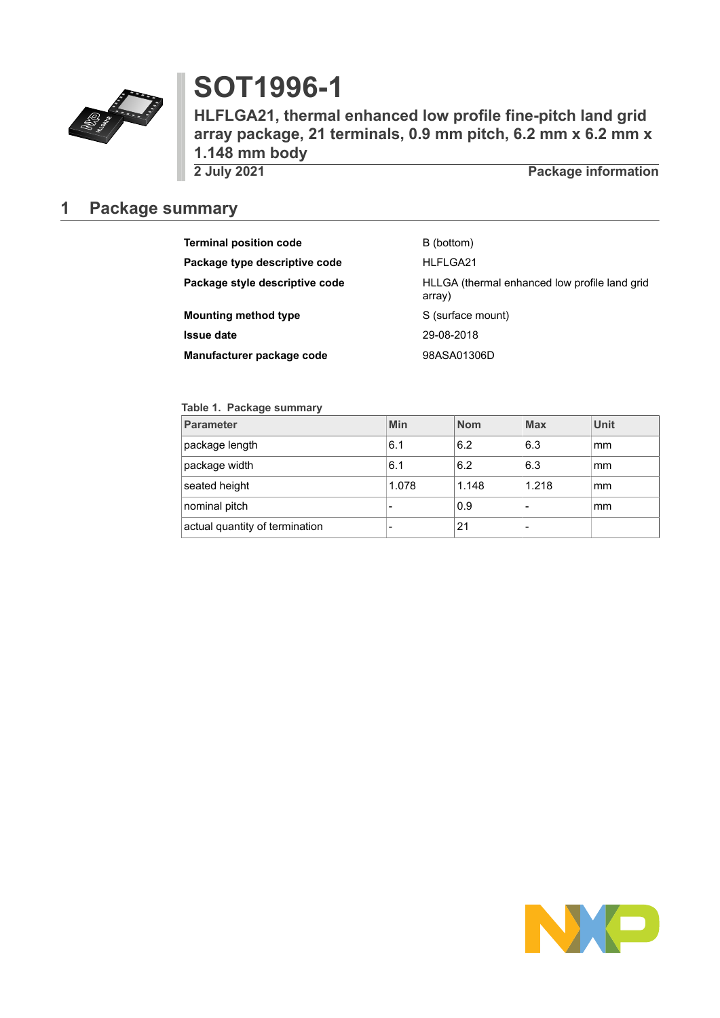

# **SOT1996-1**

**HLFLGA21, thermal enhanced low profile fine-pitch land grid array package, 21 terminals, 0.9 mm pitch, 6.2 mm x 6.2 mm x 1.148 mm body**

**Package information** 

### <span id="page-0-0"></span>**1 Package summary**

| <b>Terminal position code</b>  | B (bottom)                                              |
|--------------------------------|---------------------------------------------------------|
| Package type descriptive code  | HLFLGA21                                                |
| Package style descriptive code | HLLGA (thermal enhanced low profile land grid<br>array) |
| <b>Mounting method type</b>    | S (surface mount)                                       |
| <b>Issue date</b>              | 29-08-2018                                              |
| Manufacturer package code      | 98ASA01306D                                             |

### **Table 1. Package summary**

| <b>Parameter</b>               | Min   | <b>Nom</b> | <b>Max</b> | Unit |
|--------------------------------|-------|------------|------------|------|
| package length                 | 6.1   | 6.2        | 6.3        | mm   |
| package width                  | 6.1   | 6.2        | 6.3        | mm   |
| seated height                  | 1.078 | 1.148      | 1.218      | mm   |
| nominal pitch                  |       | 0.9        |            | mm   |
| actual quantity of termination |       | 21         |            |      |

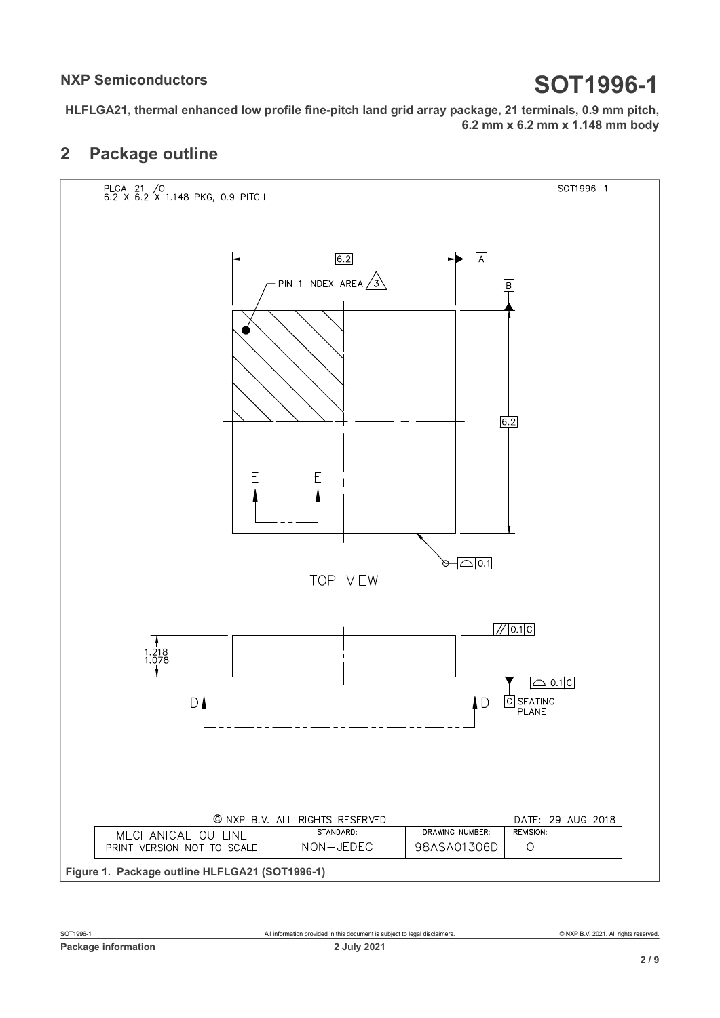**HLFLGA21, thermal enhanced low profile fine-pitch land grid array package, 21 terminals, 0.9 mm pitch, 6.2 mm x 6.2 mm x 1.148 mm body**

### <span id="page-1-0"></span>**2 Package outline**

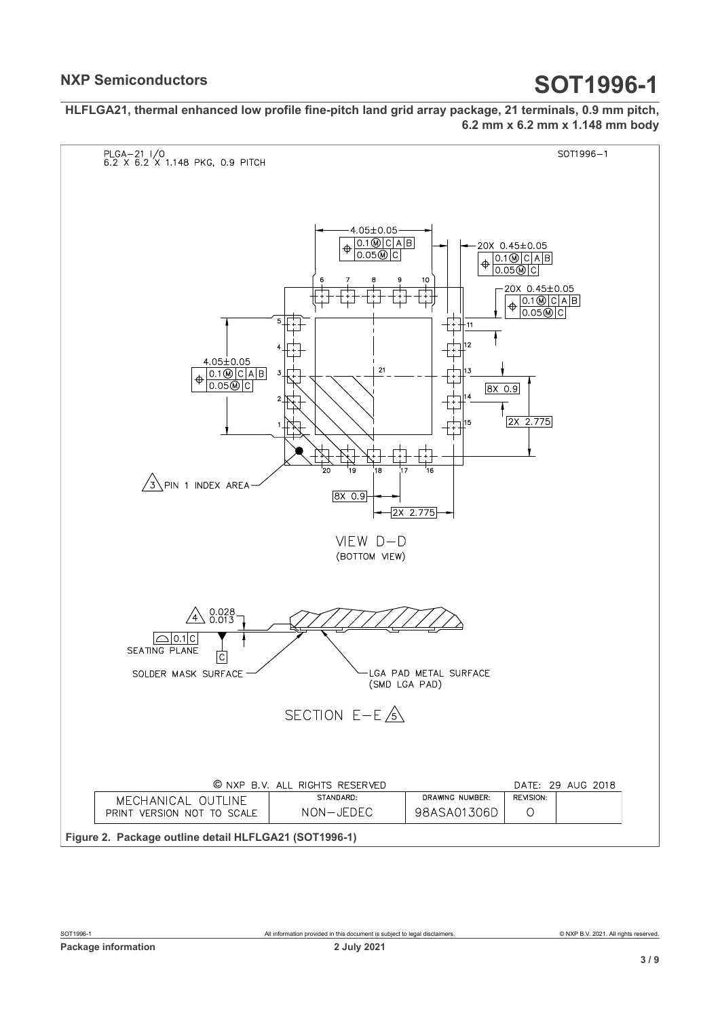**HLFLGA21, thermal enhanced low profile fine-pitch land grid array package, 21 terminals, 0.9 mm pitch, 6.2 mm x 6.2 mm x 1.148 mm body**

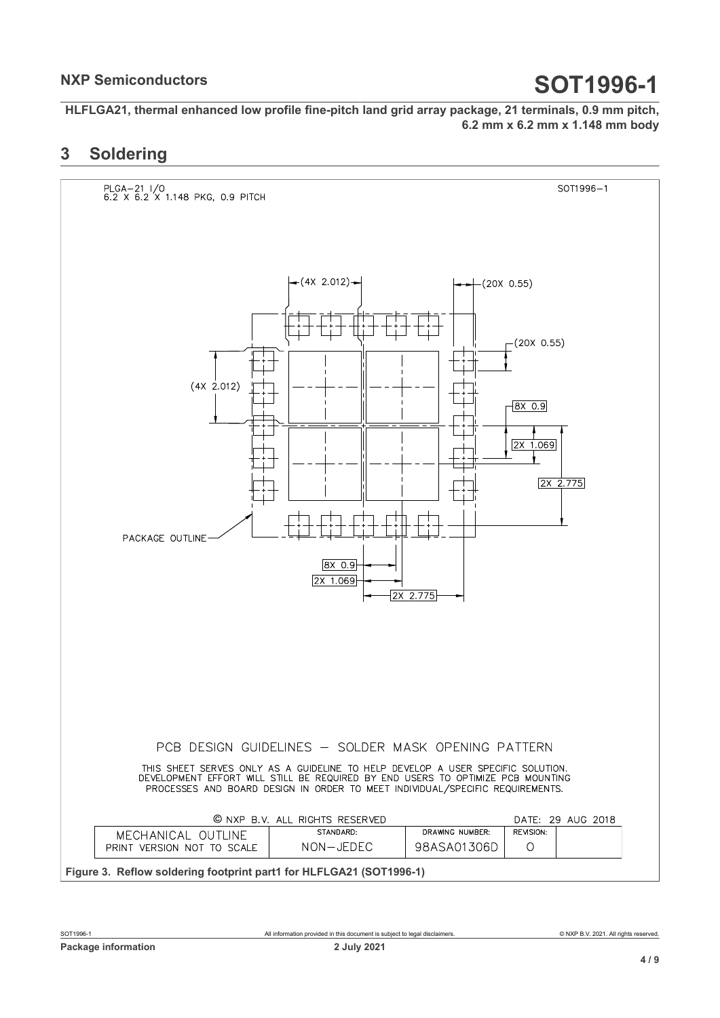**HLFLGA21, thermal enhanced low profile fine-pitch land grid array package, 21 terminals, 0.9 mm pitch, 6.2 mm x 6.2 mm x 1.148 mm body**

### <span id="page-3-0"></span>**3 Soldering**

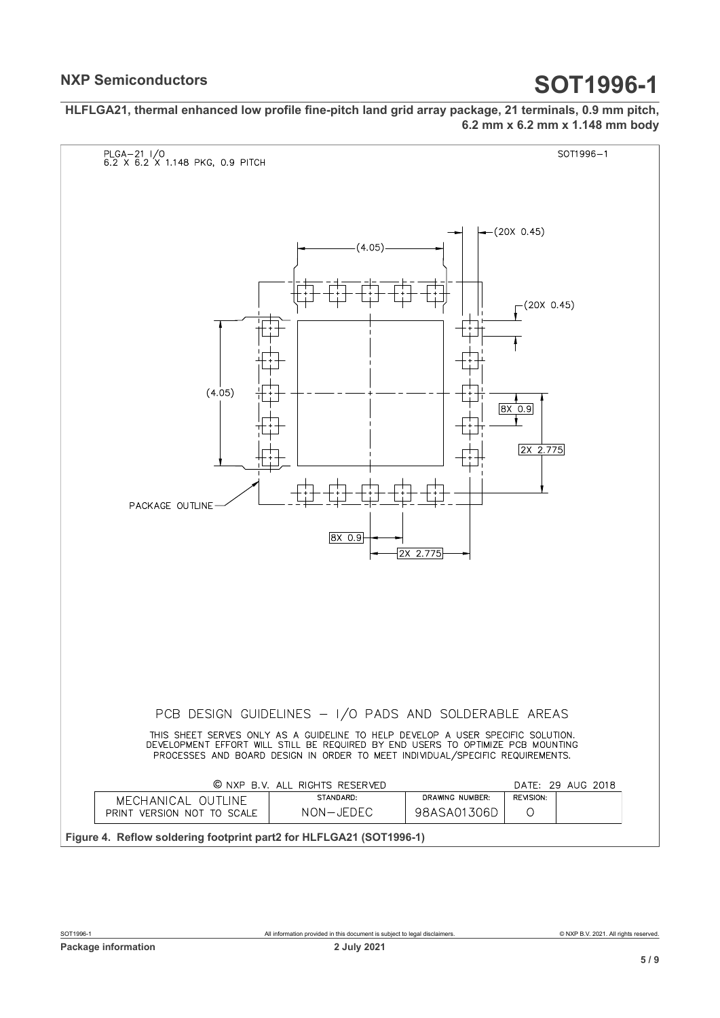**HLFLGA21, thermal enhanced low profile fine-pitch land grid array package, 21 terminals, 0.9 mm pitch, 6.2 mm x 6.2 mm x 1.148 mm body**

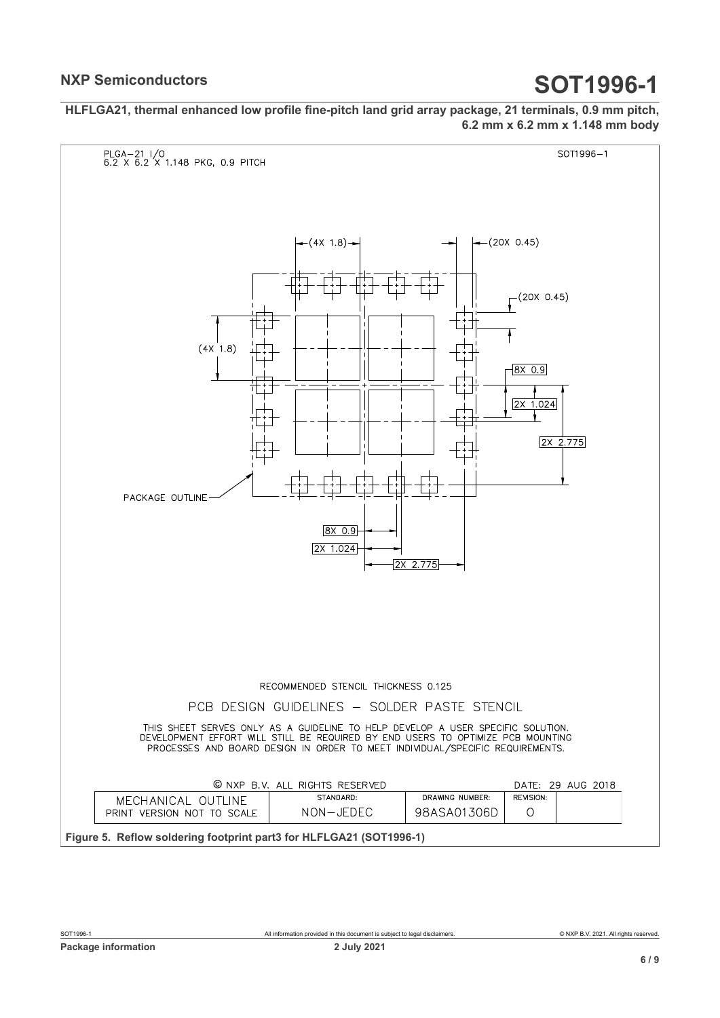**HLFLGA21, thermal enhanced low profile fine-pitch land grid array package, 21 terminals, 0.9 mm pitch, 6.2 mm x 6.2 mm x 1.148 mm body**

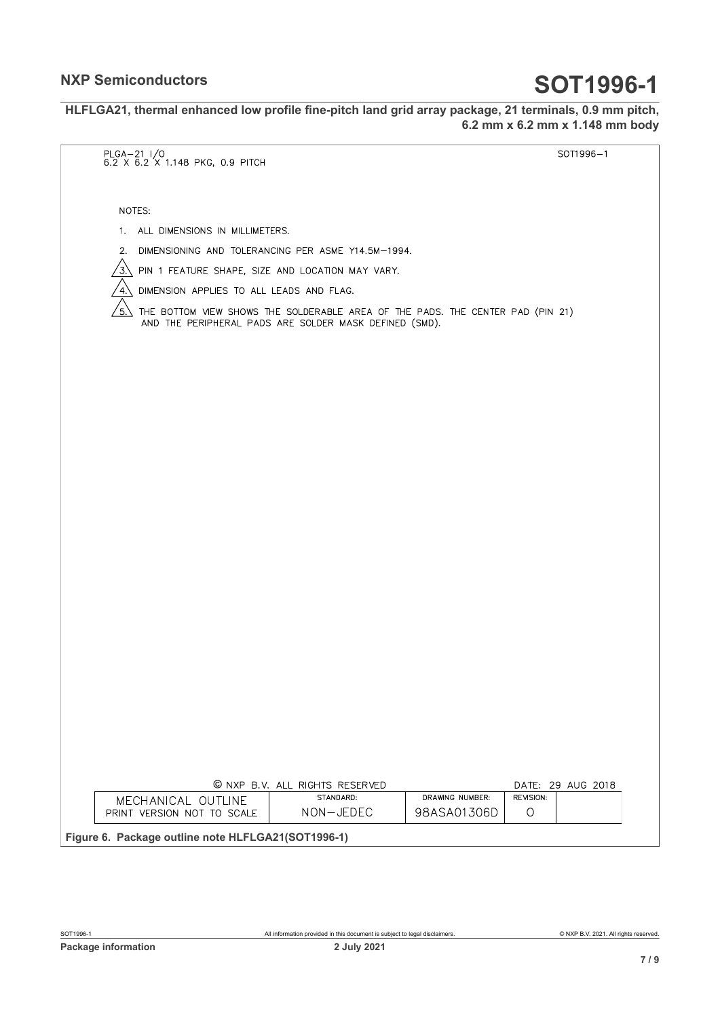**HLFLGA21, thermal enhanced low profile fine-pitch land grid array package, 21 terminals, 0.9 mm pitch, 6.2 mm x 6.2 mm x 1.148 mm body**

| $PLGA-21$ $1/0$ |                                                              |                                                                                                                                          |                                |                      | SOT1996-1         |
|-----------------|--------------------------------------------------------------|------------------------------------------------------------------------------------------------------------------------------------------|--------------------------------|----------------------|-------------------|
|                 | 6.2 X 6.2 X 1.148 PKG, 0.9 PITCH                             |                                                                                                                                          |                                |                      |                   |
|                 |                                                              |                                                                                                                                          |                                |                      |                   |
| NOTES:          |                                                              |                                                                                                                                          |                                |                      |                   |
|                 | 1. ALL DIMENSIONS IN MILLIMETERS.                            |                                                                                                                                          |                                |                      |                   |
|                 |                                                              | 2. DIMENSIONING AND TOLERANCING PER ASME Y14.5M-1994.                                                                                    |                                |                      |                   |
|                 | $3\sqrt{2}$ PIN 1 FEATURE SHAPE, SIZE AND LOCATION MAY VARY. |                                                                                                                                          |                                |                      |                   |
| 4.              | UIMENSION APPLIES TO ALL LEADS AND FLAG.                     |                                                                                                                                          |                                |                      |                   |
| $5. \setminus$  |                                                              | THE BOTTOM VIEW SHOWS THE SOLDERABLE AREA OF THE PADS. THE CENTER PAD (PIN 21)<br>AND THE PERIPHERAL PADS ARE SOLDER MASK DEFINED (SMD). |                                |                      |                   |
|                 |                                                              |                                                                                                                                          |                                |                      |                   |
|                 |                                                              |                                                                                                                                          |                                |                      |                   |
|                 |                                                              |                                                                                                                                          |                                |                      |                   |
|                 |                                                              |                                                                                                                                          |                                |                      |                   |
|                 |                                                              |                                                                                                                                          |                                |                      |                   |
|                 |                                                              |                                                                                                                                          |                                |                      |                   |
|                 |                                                              |                                                                                                                                          |                                |                      |                   |
|                 |                                                              |                                                                                                                                          |                                |                      |                   |
|                 |                                                              |                                                                                                                                          |                                |                      |                   |
|                 |                                                              |                                                                                                                                          |                                |                      |                   |
|                 |                                                              |                                                                                                                                          |                                |                      |                   |
|                 |                                                              |                                                                                                                                          |                                |                      |                   |
|                 |                                                              |                                                                                                                                          |                                |                      |                   |
|                 |                                                              |                                                                                                                                          |                                |                      |                   |
|                 |                                                              |                                                                                                                                          |                                |                      |                   |
|                 |                                                              |                                                                                                                                          |                                |                      |                   |
|                 |                                                              |                                                                                                                                          |                                |                      |                   |
|                 |                                                              |                                                                                                                                          |                                |                      |                   |
|                 |                                                              |                                                                                                                                          |                                |                      |                   |
|                 |                                                              |                                                                                                                                          |                                |                      |                   |
|                 |                                                              |                                                                                                                                          |                                |                      |                   |
|                 |                                                              |                                                                                                                                          |                                |                      |                   |
|                 |                                                              |                                                                                                                                          |                                |                      |                   |
|                 |                                                              | © NXP B.V. ALL RIGHTS RESERVED                                                                                                           |                                |                      | DATE: 29 AUG 2018 |
|                 | MECHANICAL OUTLINE<br>PRINT VERSION NOT TO SCALE             | STANDARD:<br>NON-JEDEC                                                                                                                   | DRAWING NUMBER:<br>98ASA01306D | REVISION:<br>$\circ$ |                   |
|                 |                                                              |                                                                                                                                          |                                |                      |                   |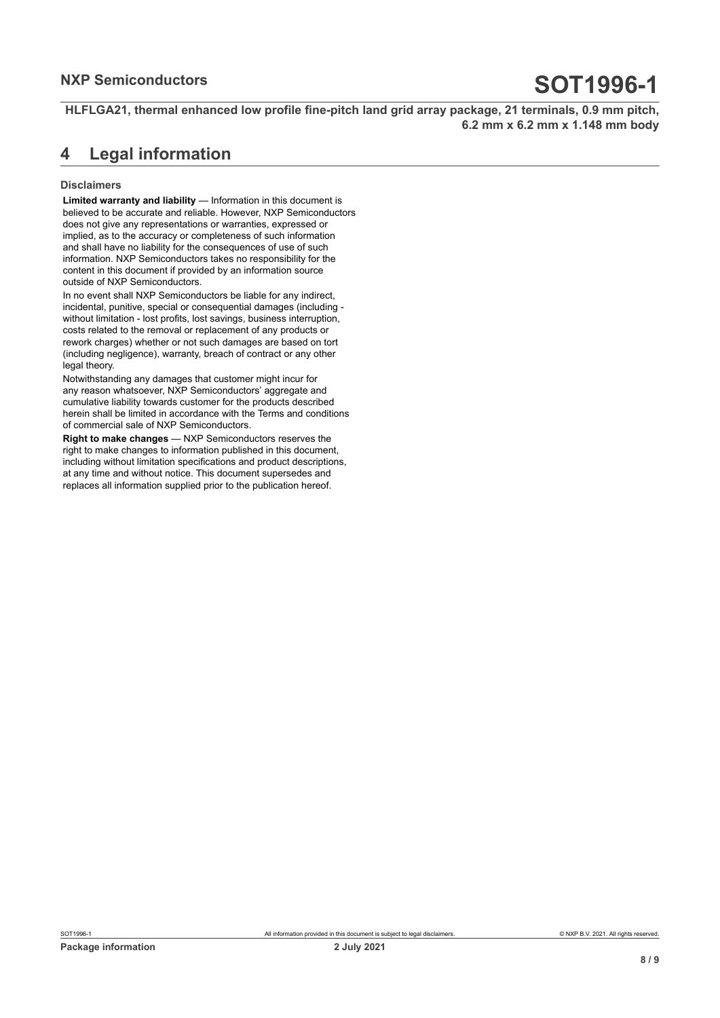**HLFLGA21, thermal enhanced low profile fine-pitch land grid array package, 21 terminals, 0.9 mm pitch, 6.2 mm x 6.2 mm x 1.148 mm body**

### <span id="page-7-0"></span>**4 Legal information**

### **Disclaimers**

**Limited warranty and liability** — Information in this document is believed to be accurate and reliable. However, NXP Semiconductors does not give any representations or warranties, expressed or implied, as to the accuracy or completeness of such information and shall have no liability for the consequences of use of such information. NXP Semiconductors takes no responsibility for the content in this document if provided by an information source outside of NXP Semiconductors.

In no event shall NXP Semiconductors be liable for any indirect, incidental, punitive, special or consequential damages (including without limitation - lost profits, lost savings, business interruption, costs related to the removal or replacement of any products or rework charges) whether or not such damages are based on tort (including negligence), warranty, breach of contract or any other legal theory.

Notwithstanding any damages that customer might incur for any reason whatsoever, NXP Semiconductors' aggregate and cumulative liability towards customer for the products described herein shall be limited in accordance with the Terms and conditions of commercial sale of NXP Semiconductors.

**Right to make changes** — NXP Semiconductors reserves the right to make changes to information published in this document, including without limitation specifications and product descriptions, at any time and without notice. This document supersedes and replaces all information supplied prior to the publication hereof.